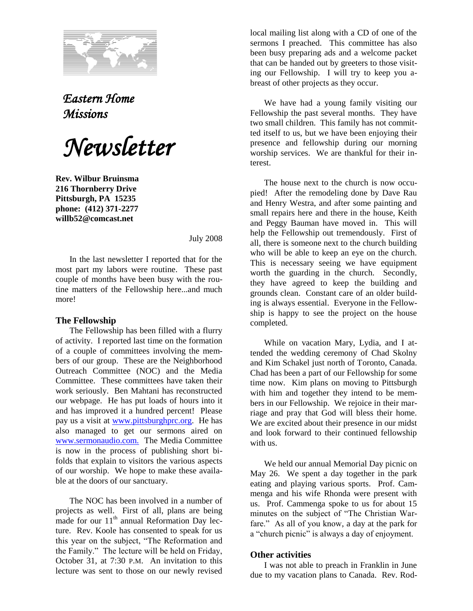

## *Eastern Home Missions*

*Newsletter*

**Rev. Wilbur Bruinsma 216 Thornberry Drive Pittsburgh, PA 15235 phone: (412) 371-2277 willb52@comcast.net**

July 2008

In the last newsletter I reported that for the most part my labors were routine. These past couple of months have been busy with the routine matters of the Fellowship here...and much more!

## **The Fellowship**

The Fellowship has been filled with a flurry of activity. I reported last time on the formation of a couple of committees involving the members of our group. These are the Neighborhood Outreach Committee (NOC) and the Media Committee. These committees have taken their work seriously. Ben Mahtani has reconstructed our webpage. He has put loads of hours into it and has improved it a hundred percent! Please pay us a visit at [www.pittsburghprc.org.](http://www.pittsburghprc.org/) He has also managed to get our sermons aired on [www.sermonaudio.com.](http://www.sermonaudio.com./) The Media Committee is now in the process of publishing short bifolds that explain to visitors the various aspects of our worship. We hope to make these available at the doors of our sanctuary.

The NOC has been involved in a number of projects as well. First of all, plans are being made for our  $11<sup>th</sup>$  annual Reformation Day lecture. Rev. Koole has consented to speak for us this year on the subject, "The Reformation and the Family." The lecture will be held on Friday, October 31, at 7:30 P.M. An invitation to this lecture was sent to those on our newly revised

local mailing list along with a CD of one of the sermons I preached. This committee has also been busy preparing ads and a welcome packet that can be handed out by greeters to those visiting our Fellowship. I will try to keep you abreast of other projects as they occur.

We have had a young family visiting our Fellowship the past several months. They have two small children. This family has not committed itself to us, but we have been enjoying their presence and fellowship during our morning worship services. We are thankful for their interest.

The house next to the church is now occupied! After the remodeling done by Dave Rau and Henry Westra, and after some painting and small repairs here and there in the house, Keith and Peggy Bauman have moved in. This will help the Fellowship out tremendously. First of all, there is someone next to the church building who will be able to keep an eye on the church. This is necessary seeing we have equipment worth the guarding in the church. Secondly, they have agreed to keep the building and grounds clean. Constant care of an older building is always essential. Everyone in the Fellowship is happy to see the project on the house completed.

While on vacation Mary, Lydia, and I attended the wedding ceremony of Chad Skolny and Kim Schakel just north of Toronto, Canada. Chad has been a part of our Fellowship for some time now. Kim plans on moving to Pittsburgh with him and together they intend to be members in our Fellowship. We rejoice in their marriage and pray that God will bless their home. We are excited about their presence in our midst and look forward to their continued fellowship with us.

We held our annual Memorial Day picnic on May 26. We spent a day together in the park eating and playing various sports. Prof. Cammenga and his wife Rhonda were present with us. Prof. Cammenga spoke to us for about 15 minutes on the subject of "The Christian Warfare." As all of you know, a day at the park for a "church picnic" is always a day of enjoyment.

## **Other activities**

I was not able to preach in Franklin in June due to my vacation plans to Canada. Rev. Rod